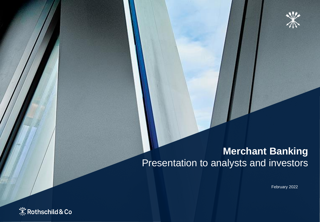

### **Merchant Banking** Presentation to analysts and investors

February 2022

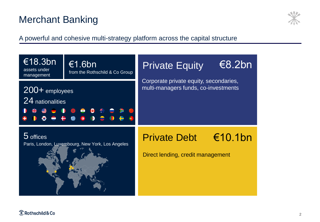# Merchant Banking



A powerful and cohesive multi-strategy platform across the capital structure



#### **X** Rothschild & Co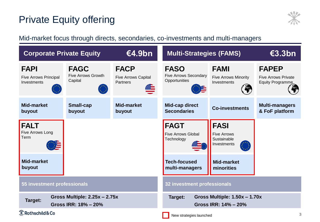# Private Equity offering



#### Mid-market focus through directs, secondaries, co-investments and multi-managers

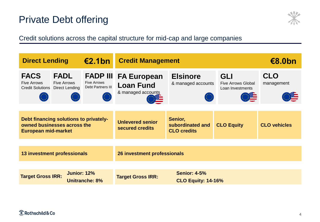## Private Debt offering



Credit solutions across the capital structure for mid-cap and large companies

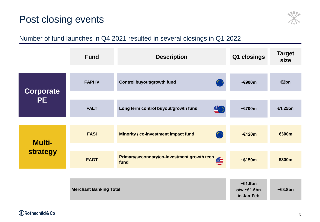#### Post closing events



#### Number of fund launches in Q4 2021 resulted in several closings in Q1 2022

|                           | <b>Fund</b>                   | <b>Description</b>                               | Q1 closings                                                       | <b>Target</b><br>size |
|---------------------------|-------------------------------|--------------------------------------------------|-------------------------------------------------------------------|-----------------------|
|                           |                               |                                                  |                                                                   |                       |
| <b>Corporate</b><br>PE.   | <b>FAPI IV</b>                | Control buyout/growth fund                       | $\sim$ €900m                                                      | €2bn                  |
|                           |                               |                                                  |                                                                   |                       |
|                           | <b>FALT</b>                   | 學<br>Long term control buyout/growth fund        | $\sim$ €700m                                                      | €1.25bn               |
|                           |                               |                                                  |                                                                   |                       |
| <b>Multi-</b><br>strategy | <b>FASI</b>                   | O<br><b>Minority / co-investment impact fund</b> | $\sim$ €120m                                                      | €300m                 |
|                           |                               |                                                  |                                                                   |                       |
|                           | <b>FAGT</b>                   | Primary/secondary/co-investment growth tech      | ~150m                                                             | \$300m                |
|                           |                               |                                                  |                                                                   |                       |
|                           | <b>Merchant Banking Total</b> |                                                  | $\sim \epsilon$ 1.9bn<br>$o/w \sim \epsilon 1.5$ bn<br>in Jan-Feb | $\sim \epsilon$ 3.8bn |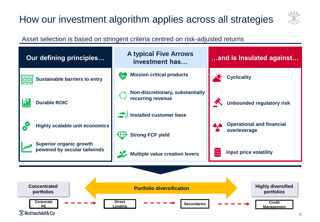# How our investment algorithm applies across all strategies



#### Asset selection is based on stringent criteria centred on risk-adjusted returns

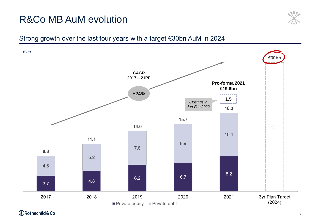# R&Co MB AuM evolution



#### Strong growth over the last four years with a target €30bn AuM in 2024

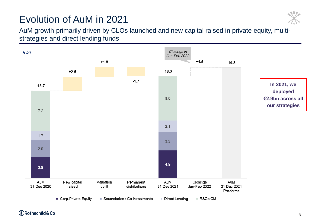# Evolution of AuM in 2021



AuM growth primarily driven by CLOs launched and new capital raised in private equity, multistrategies and direct lending funds



**X** Rothschild & Co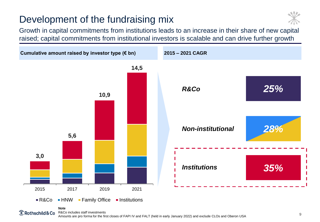# Development of the fundraising mix



Growth in capital commitments from institutions leads to an increase in their share of new capital raised; capital commitments from institutional investors is scalable and can drive further growth



#### $\mathbb X$  Rothschild & Co

R&Co includes staff investments Amounts are pro forma for the first closes of FAPI IV and FALT (held in early January 2022) and exclude CLOs and Oberon USA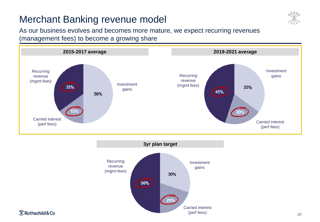## Merchant Banking revenue model



As our business evolves and becomes more mature, we expect recurring revenues (management fees) to become a growing share





**X** Rothschild & Co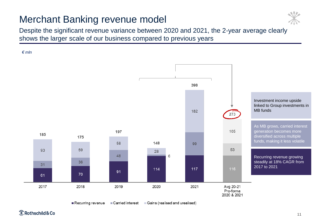## Merchant Banking revenue model



Despite the significant revenue variance between 2020 and 2021, the 2-year average clearly shows the larger scale of our business compared to previous years



 $\mathbb X$  Rothschild & Co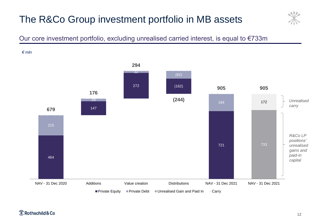# The R&Co Group investment portfolio in MB assets



#### Our core investment portfolio, excluding unrealised carried interest, is equal to €733m

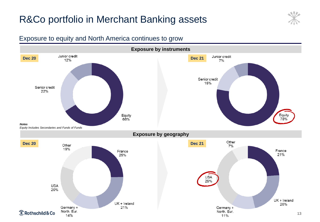## R&Co portfolio in Merchant Banking assets



#### Exposure to equity and North America continues to grow

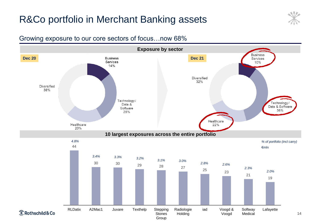## R&Co portfolio in Merchant Banking assets



#### Growing exposure to our core sectors of focus…now 68%

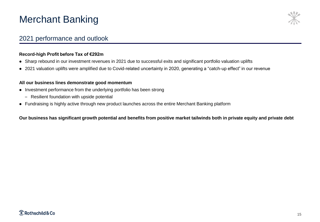## Merchant Banking



#### 2021 performance and outlook

#### **Record-high Profit before Tax of €292m**

- ⚫ Sharp rebound in our investment revenues in 2021 due to successful exits and significant portfolio valuation uplifts
- ⚫ 2021 valuation uplifts were amplified due to Covid-related uncertainty in 2020, generating a "catch-up effect" in our revenue

#### **All our business lines demonstrate good momentum**

- ⚫ Investment performance from the underlying portfolio has been strong
	- Resilient foundation with upside potential
- ⚫ Fundraising is highly active through new product launches across the entire Merchant Banking platform

**Our business has significant growth potential and benefits from positive market tailwinds both in private equity and private debt**